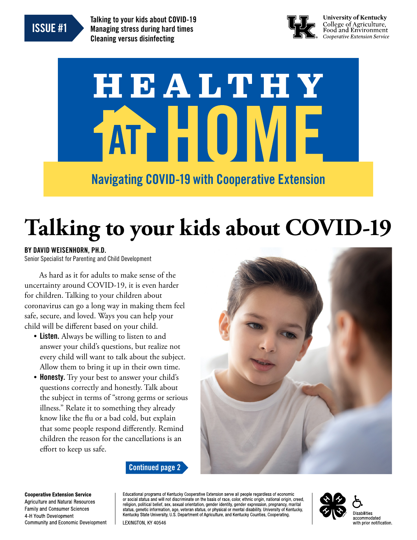

Talking to your kids about COVID-19 Managing stress during hard times Cleaning versus disinfecting



**University of Kentucky** College of Agriculture,<br>Food and Environment Cooperative Extension Service

# HEALTHY ATT FIUI V

### Navigating COVID-19 with Cooperative Extension

# **Talking to your kids about COVID-19**

#### BY DAVID WEISENHORN, PH.D.

Senior Specialist for Parenting and Child Development

As hard as it for adults to make sense of the uncertainty around COVID-19, it is even harder for children. Talking to your children about coronavirus can go a long way in making them feel safe, secure, and loved. Ways you can help your child will be diferent based on your child.

- Listen. Always be willing to listen to and answer your child's questions, but realize not every child will want to talk about the subject. Allow them to bring it up in their own time.
- Honesty. Try your best to answer your child's questions correctly and honestly. Talk about the subject in terms of "strong germs or serious illness." Relate it to something they already know like the fu or a bad cold, but explain that some people respond diferently. Remind children the reason for the cancellations is an efort to keep us safe.



Continued page 2

**Cooperative Extension Service Agriculture and Natural Resources Family and Consumer Sciences** 4-H Youth Development **Community and Economic Development** 

Educational programs of Kentucky Cooperative Extension serve all people regardless of economic or social status and will not discriminate on the basis of race, color, ethnic origin, national origin, creed, religion, political belief, sex, sexual orientation, gender identity, gender expression, pregnancy, marital status, genetic information, age, veteran status, or physical or mental disability. University of Kentucky, Kentucky State University, U.S. Department of Agriculture, and Kentucky Counties, Cooperating. LEXINGTON, KY 40546

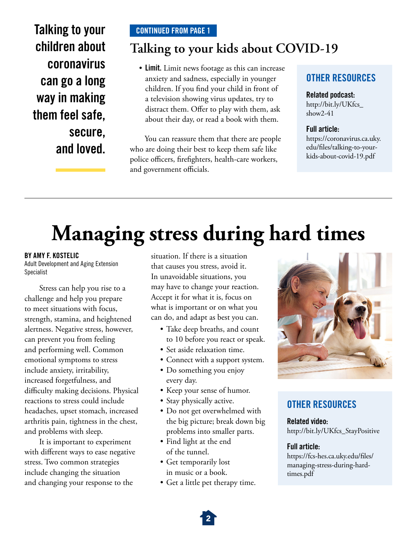Talking to your children about coronavirus can go a long way in making them feel safe, secure, and loved.

#### CONTINUED FROM PAGE 1

#### **Talking to your kids about COVID-19**

• Limit. Limit news footage as this can increase anxiety and sadness, especially in younger children. If you fnd your child in front of a television showing virus updates, try to distract them. Offer to play with them, ask about their day, or read a book with them.

You can reassure them that there are people who are doing their best to keep them safe like police officers, firefighters, health-care workers, and government officials.

#### OTHER RESOURCES

#### Related podcast:

[http://bit.ly/UKfcs\\_](http://bit.ly/UKfcs_show2-41)  [show2-41](http://bit.ly/UKfcs_show2-41) 

#### Full article:

[https://coronavirus.ca.uky.](https://coronavirus.ca.uky.edu/files/talking-to-your-kids-about-covid-19.pdf)  [edu/fles/talking-to-your](https://coronavirus.ca.uky.edu/files/talking-to-your-kids-about-covid-19.pdf)[kids-about-covid-19.pdf](https://coronavirus.ca.uky.edu/files/talking-to-your-kids-about-covid-19.pdf)

### **Managing stress during hard times**

#### BY AMY F. KOSTELIC

Adult Development and Aging Extension Specialist

Stress can help you rise to a challenge and help you prepare to meet situations with focus, strength, stamina, and heightened alertness. Negative stress, however, can prevent you from feeling and performing well. Common emotional symptoms to stress include anxiety, irritability, increased forgetfulness, and difficulty making decisions. Physical reactions to stress could include headaches, upset stomach, increased arthritis pain, tightness in the chest, and problems with sleep.

It is important to experiment with diferent ways to ease negative stress. Two common strategies include changing the situation and changing your response to the

situation. If there is a situation that causes you stress, avoid it. In unavoidable situations, you may have to change your reaction. Accept it for what it is, focus on what is important or on what you can do, and adapt as best you can.

- Take deep breaths, and count to 10 before you react or speak.
- Set aside relaxation time.
- Connect with a support system.
- Do something you enjoy every day.
- Keep your sense of humor.
- Stay physically active.
- Do not get overwhelmed with the big picture; break down big problems into smaller parts.
- Find light at the end of the tunnel.
- Get temporarily lost in music or a book.
- Get a little pet therapy time.



#### OTHER RESOURCES

Related video: [http://bit.ly/UKfcs\\_StayPositive](http://bit.ly/UKfcs_StayPositive)

#### Full article:

[https://fcs-hes.ca.uky.edu/fles/](https://fcs-hes.ca.uky.edu/files/managing-stress-during-hard-times.pdf)  [managing-stress-during-hard](https://fcs-hes.ca.uky.edu/files/managing-stress-during-hard-times.pdf)[times.pdf](https://fcs-hes.ca.uky.edu/files/managing-stress-during-hard-times.pdf)